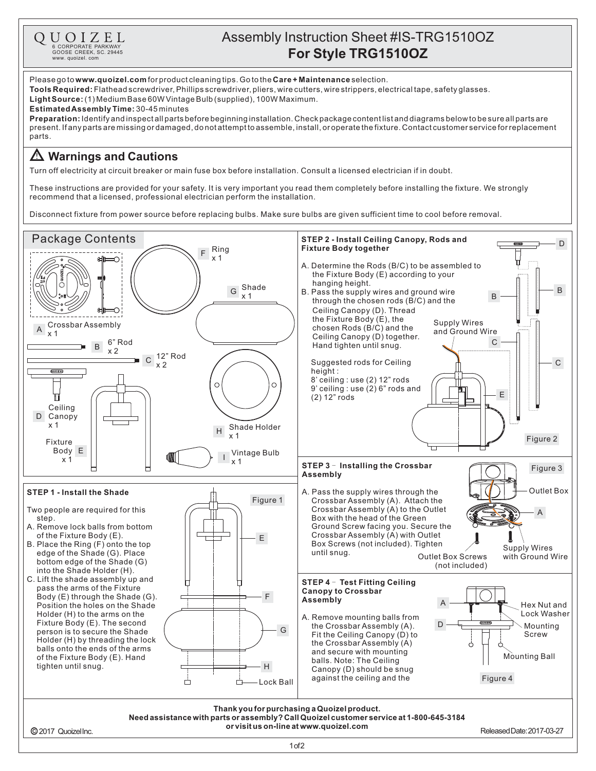

## Assembly Instruction Sheet #IS-TRG1510OZ **For Style TRG1510OZ**

Please go to **www.quoizel.com** for product cleaning tips. Go to the **Care + Maintenance** selection.

**Tools Required:** Flathead screwdriver, Phillips screwdriver, pliers, wire cutters, wire strippers, electrical tape, safety glasses.

 $\textsf{Light Source:}\left(1\right)$  Medium Base 60W Vintage Bulb (supplied), 100W Maximum.

**Estimated Assembly Time:** 30-45 minutes

**Preparation:** Identify and inspectall parts before beginning installation. Check package content list and diagrams below to be sure all parts are present.Ifanypartsaremissingordamaged,donotattempttoassemble,install,oroperatethefixture.Contactcustomerserviceforreplacement parts.

## **Warnings and Cautions**

Turn off electricity at circuit breaker or main fuse box before installation. Consult a licensed electrician if in doubt.

These instructions are provided for your safety. It is very important you read them completely before installing the fixture. We strongly recommend that a licensed, professional electrician perform the installation.

Disconnect fixture from power source before replacing bulbs. Make sure bulbs are given sufficient time to cool before removal.